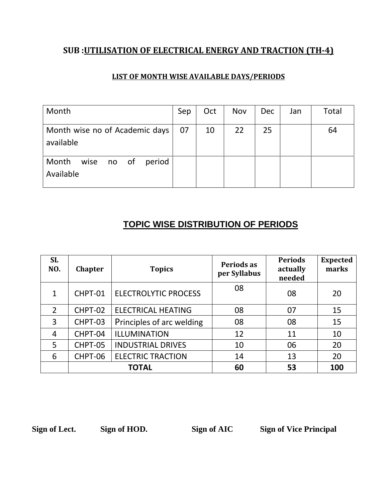#### **SUB :UTILISATION OF ELECTRICAL ENERGY AND TRACTION (TH-4)**

#### **LIST OF MONTH WISE AVAILABLE DAYS/PERIODS**

| Month                                       | Sep | Oct | Nov | <b>Dec</b> | Jan | Total |
|---------------------------------------------|-----|-----|-----|------------|-----|-------|
| Month wise no of Academic days<br>available | 07  | 10  | 22  | 25         |     | 64    |
| Month<br>wise no of<br>period<br>Available  |     |     |     |            |     |       |

### **TOPIC WISE DISTRIBUTION OF PERIODS**

| <b>SL</b><br>NO. | <b>Chapter</b> | <b>Topics</b>               | Periods as<br>per Syllabus | <b>Periods</b><br>actually<br>needed | <b>Expected</b><br>marks |
|------------------|----------------|-----------------------------|----------------------------|--------------------------------------|--------------------------|
| 1                | CHPT-01        | <b>ELECTROLYTIC PROCESS</b> | 08                         | 08                                   | 20                       |
| 2                | CHPT-02        | <b>ELECTRICAL HEATING</b>   | 08                         | 07                                   | 15                       |
| 3                | CHPT-03        | Principles of arc welding   | 08                         | 08                                   | 15                       |
| $\overline{4}$   | CHPT-04        | ILLUMINATION                | 12                         | 11                                   | 10                       |
| 5                | CHPT-05        | <b>INDUSTRIAL DRIVES</b>    | 10                         | 06                                   | 20                       |
| 6                | CHPT-06        | <b>ELECTRIC TRACTION</b>    | 14                         | 13                                   | 20                       |
|                  | <b>TOTAL</b>   |                             | 60                         | 53                                   | 100                      |

**Sign of Lect. Sign of HOD. Sign of AIC Sign of Vice Principal**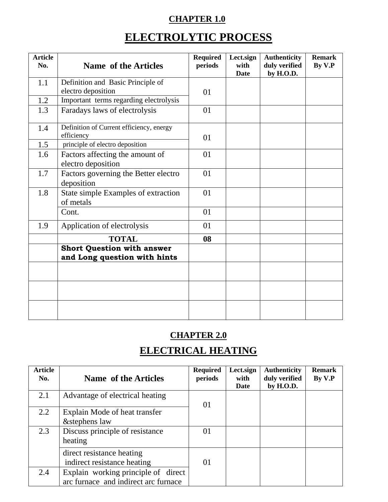## **CHAPTER 1.0**

# **ELECTROLYTIC PROCESS**

| <b>Article</b><br>No. | Name of the Articles                                              | <b>Required</b><br>periods | Lect.sign<br>with<br><b>Date</b> | <b>Authenticity</b><br>duly verified<br>by H.O.D. | <b>Remark</b><br>By V.P |
|-----------------------|-------------------------------------------------------------------|----------------------------|----------------------------------|---------------------------------------------------|-------------------------|
| 1.1                   | Definition and Basic Principle of                                 |                            |                                  |                                                   |                         |
|                       | electro deposition                                                | 01                         |                                  |                                                   |                         |
| 1.2                   | Important terms regarding electrolysis                            |                            |                                  |                                                   |                         |
| 1.3                   | Faradays laws of electrolysis                                     | 01                         |                                  |                                                   |                         |
| 1.4                   | Definition of Current efficiency, energy<br>efficiency            | 01                         |                                  |                                                   |                         |
| 1.5                   | principle of electro deposition                                   |                            |                                  |                                                   |                         |
| 1.6                   | Factors affecting the amount of<br>electro deposition             | 01                         |                                  |                                                   |                         |
| 1.7                   | Factors governing the Better electro<br>deposition                | 01                         |                                  |                                                   |                         |
| 1.8                   | State simple Examples of extraction<br>of metals                  | 01                         |                                  |                                                   |                         |
|                       | Cont.                                                             | 01                         |                                  |                                                   |                         |
| 1.9                   | Application of electrolysis                                       | 01                         |                                  |                                                   |                         |
|                       | <b>TOTAL</b>                                                      | 08                         |                                  |                                                   |                         |
|                       | <b>Short Question with answer</b><br>and Long question with hints |                            |                                  |                                                   |                         |
|                       |                                                                   |                            |                                  |                                                   |                         |
|                       |                                                                   |                            |                                  |                                                   |                         |
|                       |                                                                   |                            |                                  |                                                   |                         |

## **CHAPTER 2.0**

## **ELECTRICAL HEATING**

| <b>Article</b><br>No. | <b>Name of the Articles</b>                                                 | <b>Required</b><br>periods | Lect.sign<br>with<br>Date | <b>Authenticity</b><br>duly verified<br>by H.O.D. | <b>Remark</b><br>By V.P |
|-----------------------|-----------------------------------------------------------------------------|----------------------------|---------------------------|---------------------------------------------------|-------------------------|
| 2.1                   | Advantage of electrical heating                                             | 01                         |                           |                                                   |                         |
| 2.2                   | Explain Mode of heat transfer<br>&stephens law                              |                            |                           |                                                   |                         |
| 2.3                   | Discuss principle of resistance<br>heating                                  | 01                         |                           |                                                   |                         |
|                       | direct resistance heating<br>indirect resistance heating                    | 01                         |                           |                                                   |                         |
| 2.4                   | Explain working principle of direct<br>arc furnace and indirect arc furnace |                            |                           |                                                   |                         |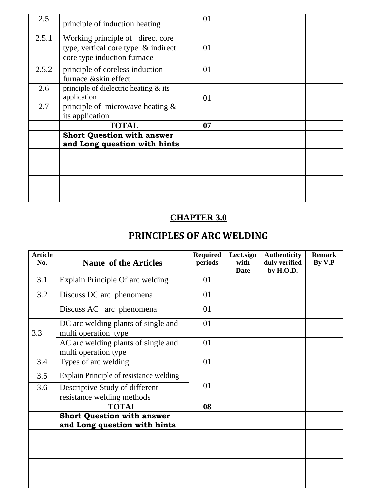| 2.5   | principle of induction heating                                                                            | 01 |  |  |
|-------|-----------------------------------------------------------------------------------------------------------|----|--|--|
| 2.5.1 | Working principle of direct core<br>type, vertical core type $\&$ indirect<br>core type induction furnace | 01 |  |  |
| 2.5.2 | principle of coreless induction<br>furnace &skin effect                                                   | 01 |  |  |
| 2.6   | principle of dielectric heating $\&$ its<br>application                                                   | 01 |  |  |
| 2.7   | principle of microwave heating $\&$<br>its application                                                    |    |  |  |
|       | <b>TOTAL</b>                                                                                              | 07 |  |  |
|       | <b>Short Question with answer</b><br>and Long question with hints                                         |    |  |  |
|       |                                                                                                           |    |  |  |
|       |                                                                                                           |    |  |  |
|       |                                                                                                           |    |  |  |
|       |                                                                                                           |    |  |  |

## **CHAPTER 3.0**

# **PRINCIPLES OF ARC WELDING**

| <b>Article</b><br>No. | <b>Name of the Articles</b>                                       | <b>Required</b><br>periods | Lect.sign<br>with<br>Date | <b>Authenticity</b><br>duly verified<br>by H.O.D. | <b>Remark</b><br>By V.P |
|-----------------------|-------------------------------------------------------------------|----------------------------|---------------------------|---------------------------------------------------|-------------------------|
| 3.1                   | Explain Principle Of arc welding                                  | 01                         |                           |                                                   |                         |
| 3.2                   | Discuss DC arc phenomena                                          | 01                         |                           |                                                   |                         |
|                       | Discuss AC arc phenomena                                          | 01                         |                           |                                                   |                         |
| 3.3                   | DC arc welding plants of single and<br>multi operation type       | 01                         |                           |                                                   |                         |
|                       | AC arc welding plants of single and<br>multi operation type       | 01                         |                           |                                                   |                         |
| 3.4                   | Types of arc welding                                              | 01                         |                           |                                                   |                         |
| 3.5                   | Explain Principle of resistance welding                           |                            |                           |                                                   |                         |
| 3.6                   | Descriptive Study of different<br>resistance welding methods      | 01                         |                           |                                                   |                         |
|                       | <b>TOTAL</b>                                                      | 08                         |                           |                                                   |                         |
|                       | <b>Short Question with answer</b><br>and Long question with hints |                            |                           |                                                   |                         |
|                       |                                                                   |                            |                           |                                                   |                         |
|                       |                                                                   |                            |                           |                                                   |                         |
|                       |                                                                   |                            |                           |                                                   |                         |
|                       |                                                                   |                            |                           |                                                   |                         |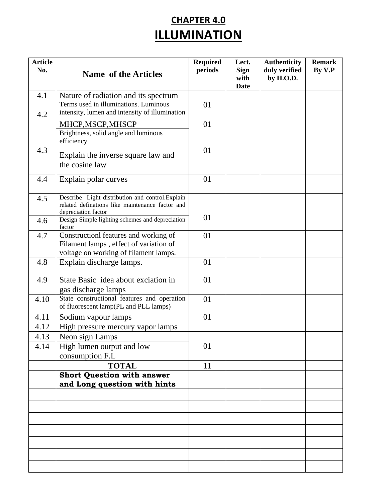# **CHAPTER 4.0 ILLUMINATION**

| <b>Article</b><br>No. | <b>Name of the Articles</b>                                                                                                | <b>Required</b><br>periods | Lect.<br><b>Sign</b><br>with<br><b>Date</b> | <b>Authenticity</b><br>duly verified<br>by H.O.D. | <b>Remark</b><br>By V.P |
|-----------------------|----------------------------------------------------------------------------------------------------------------------------|----------------------------|---------------------------------------------|---------------------------------------------------|-------------------------|
| 4.1                   | Nature of radiation and its spectrum                                                                                       |                            |                                             |                                                   |                         |
| 4.2                   | Terms used in illuminations. Luminous<br>intensity, lumen and intensity of illumination                                    | 01                         |                                             |                                                   |                         |
|                       | MHCP, MSCP, MHSCP                                                                                                          | 01                         |                                             |                                                   |                         |
|                       | Brightness, solid angle and luminous<br>efficiency                                                                         |                            |                                             |                                                   |                         |
| 4.3                   | Explain the inverse square law and<br>the cosine law                                                                       | 01                         |                                             |                                                   |                         |
| 4.4                   | Explain polar curves                                                                                                       | 01                         |                                             |                                                   |                         |
| 4.5                   | Describe Light distribution and control. Explain<br>related definations like maintenance factor and<br>depreciation factor |                            |                                             |                                                   |                         |
| 4.6                   | Design Simple lighting schemes and depreciation<br>factor                                                                  | 01                         |                                             |                                                   |                         |
| 4.7                   | Constructionl features and working of<br>Filament lamps, effect of variation of<br>voltage on working of filament lamps.   | 01                         |                                             |                                                   |                         |
| 4.8                   | Explain discharge lamps.                                                                                                   | 01                         |                                             |                                                   |                         |
| 4.9                   | State Basic idea about exciation in<br>gas discharge lamps                                                                 | 01                         |                                             |                                                   |                         |
| 4.10                  | State constructional features and operation<br>of fluorescent lamp(PL and PLL lamps)                                       | 01                         |                                             |                                                   |                         |
| 4.11<br>4.12          | Sodium vapour lamps<br>High pressure mercury vapor lamps                                                                   | 01                         |                                             |                                                   |                         |
| 4.13<br>4.14          | Neon sign Lamps<br>High lumen output and low<br>consumption F.L                                                            | 01                         |                                             |                                                   |                         |
|                       | <b>TOTAL</b>                                                                                                               | 11                         |                                             |                                                   |                         |
|                       | <b>Short Question with answer</b><br>and Long question with hints                                                          |                            |                                             |                                                   |                         |
|                       |                                                                                                                            |                            |                                             |                                                   |                         |
|                       |                                                                                                                            |                            |                                             |                                                   |                         |
|                       |                                                                                                                            |                            |                                             |                                                   |                         |
|                       |                                                                                                                            |                            |                                             |                                                   |                         |
|                       |                                                                                                                            |                            |                                             |                                                   |                         |
|                       |                                                                                                                            |                            |                                             |                                                   |                         |
|                       |                                                                                                                            |                            |                                             |                                                   |                         |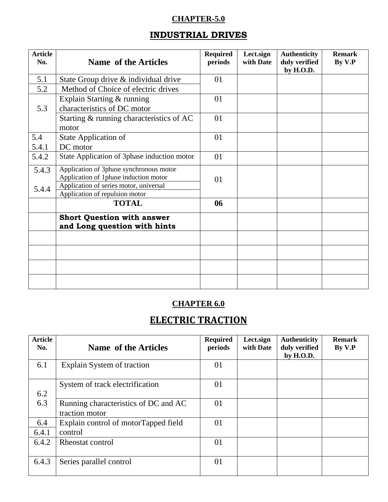#### **CHAPTER-5.0**

#### **INDUSTRIAL DRIVES**

| <b>Article</b><br>No. | <b>Name of the Articles</b>                 | <b>Required</b><br>periods | Lect.sign<br>with Date | <b>Authenticity</b><br>duly verified<br>by H.O.D. | <b>Remark</b><br>By V.P |
|-----------------------|---------------------------------------------|----------------------------|------------------------|---------------------------------------------------|-------------------------|
| 5.1                   | State Group drive & individual drive        | 01                         |                        |                                                   |                         |
| 5.2                   | Method of Choice of electric drives         |                            |                        |                                                   |                         |
|                       | Explain Starting & running                  | 01                         |                        |                                                   |                         |
| 5.3                   | characteristics of DC motor                 |                            |                        |                                                   |                         |
|                       | Starting & running characteristics of AC    | 01                         |                        |                                                   |                         |
|                       | motor                                       |                            |                        |                                                   |                         |
| 5.4                   | State Application of                        | 01                         |                        |                                                   |                         |
| 5.4.1                 | DC motor                                    |                            |                        |                                                   |                         |
| 5.4.2                 | State Application of 3phase induction motor | 01                         |                        |                                                   |                         |
| 5.4.3                 | Application of 3phase synchronous motor     |                            |                        |                                                   |                         |
|                       | Application of 1phase induction motor       | 01                         |                        |                                                   |                         |
| 5.4.4                 | Application of series motor, universal      |                            |                        |                                                   |                         |
|                       | Application of repulsion motor              |                            |                        |                                                   |                         |
|                       | <b>TOTAL</b>                                | 06                         |                        |                                                   |                         |
|                       | <b>Short Question with answer</b>           |                            |                        |                                                   |                         |
|                       | and Long question with hints                |                            |                        |                                                   |                         |
|                       |                                             |                            |                        |                                                   |                         |
|                       |                                             |                            |                        |                                                   |                         |
|                       |                                             |                            |                        |                                                   |                         |
|                       |                                             |                            |                        |                                                   |                         |

### **CHAPTER 6.0**

## **ELECTRIC TRACTION**

| <b>Article</b><br>No. | <b>Name of the Articles</b>                            | <b>Required</b><br>periods | Lect.sign<br>with Date | <b>Authenticity</b><br>duly verified<br>by H.O.D. | <b>Remark</b><br>By V.P |
|-----------------------|--------------------------------------------------------|----------------------------|------------------------|---------------------------------------------------|-------------------------|
| 6.1                   | Explain System of traction                             | 01                         |                        |                                                   |                         |
| 6.2                   | System of track electrification                        | 01                         |                        |                                                   |                         |
| 6.3                   | Running characteristics of DC and AC<br>traction motor | 01                         |                        |                                                   |                         |
| 6.4<br>6.4.1          | Explain control of motorTapped field<br>control        | 01                         |                        |                                                   |                         |
| 6.4.2                 | Rheostat control                                       | 01                         |                        |                                                   |                         |
| 6.4.3                 | Series parallel control                                | 01                         |                        |                                                   |                         |